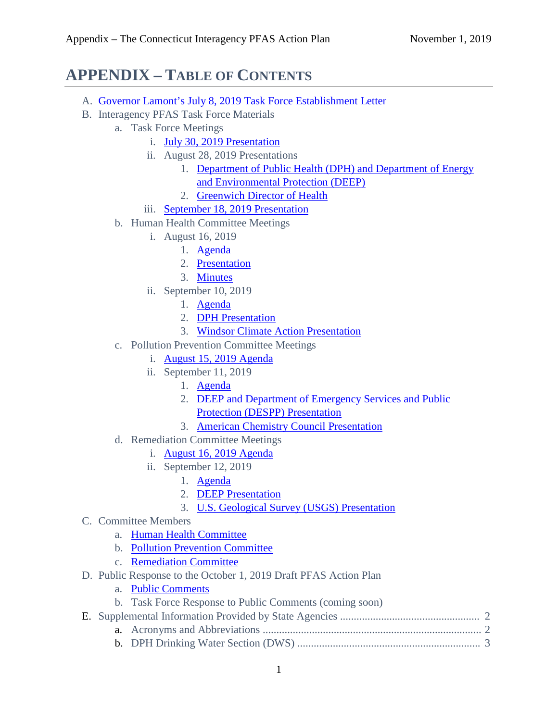## **APPENDIX – TABLE OF CONTENTS**

- A. [Governor Lamont's July 8, 2019 Task Force Establishment Letter](https://www.ct.gov/deep/lib/deep/site_clean_up/contaminants_of_emerging_concern/pfas_workgroup_letter.pdf)
- B. Interagency PFAS Task Force Materials
	- a. Task Force Meetings
		- i. [July 30, 2019 Presentation](https://www.ct.gov/deep/lib/deep/pfastaskforce/2019july30_pfas_task_force_meeting_presentation.pdf)
		- ii. August 28, 2019 Presentations
			- 1. Department of Public Health (DPH) and Department of Energy [and Environmental Protection \(DEEP\)](https://www.ct.gov/deep/lib/deep/pfastaskforce/pfas_task_force_presentation_8-28-19.pdf)
			- 2. [Greenwich Director of Health](https://www.ct.gov/deep/lib/deep/pfastaskforce/pfas_greenwich_cbc_presentation_8-28-2019.pdf)
		- iii. [September 18, 2019 Presentation](https://www.ct.gov/deep/lib/deep/pfastaskforce/pfas_dph_deep_task_force_presentation_9-18-19.pdf)
	- b. Human Health Committee Meetings
		- i. August 16, 2019
			- 1. [Agenda](https://www.ct.gov/deep/lib/deep/pfastaskforce/hhc_agenda_8_16_19.pdf)
			- 2. [Presentation](https://www.ct.gov/deep/lib/deep/pfastaskforce/hhc_presentation_8-16-19.pdf)
			- 3. [Minutes](https://www.ct.gov/deep/lib/deep/pfastaskforce/hhc_minutes_8-16-19.pdf)
		- ii. September 10, 2019
			- 1. [Agenda](https://www.ct.gov/deep/lib/deep/pfastaskforce/hhc_agenda_9-10-19.pdf)
			- 2. DPH [Presentation](https://www.ct.gov/deep/lib/deep/pfastaskforce/hhc_presentation_9-10-19.pdf)
			- 3. [Windsor Climate Action](https://www.ct.gov/deep/lib/deep/pfastaskforce/windsor_climate_action_ideal_response_presentation__9-10-19.pdf) Presentation
	- c. Pollution Prevention Committee Meetings
		- i. [August 15, 2019 Agenda](https://www.ct.gov/deep/lib/deep/pfastaskforce/ppc_agenda_2019_8_15.pdf)
		- ii. September 11, 2019
			- 1. [Agenda](https://www.ct.gov/deep/lib/deep/pfastaskforce/ppc_agenda_2019-09-11.pdf)
			- 2. DEEP and Department of Emergency Services and Public [Protection \(DESPP\)](https://www.ct.gov/deep/lib/deep/pfastaskforce/deep_despp_presentation_2019-09-11.pdf) Presentation
			- 3. [American Chemistry Council](https://www.ct.gov/deep/lib/deep/pfastaskforce/acc_presentation_2019-09_11.pdf) Presentation
	- d. Remediation Committee Meetings
		- i. [August 16, 2019 Agenda](https://www.ct.gov/deep/lib/deep/pfastaskforce/rc_agenda_2019_8_16.pdf)
		- ii. September 12, 2019
			- 1. [Agenda](https://www.ct.gov/deep/lib/deep/pfastaskforce/rc_agenda_2019-09-12.pdf)
			- 2. DEEP [Presentation](https://www.ct.gov/deep/lib/deep/pfastaskforce/rc_deep_presentation_2019-09-12.pdf)
			- 3. [U.S. Geological Survey](https://www.ct.gov/deep/lib/deep/pfastaskforce/rc_usgs_presentation_2019_09_12.pdf) (USGS) Presentation
- C. Committee Members
	- a. [Human Health Committee](https://www.ct.gov/deep/lib/deep/pfastaskforce/human_health_committee_members.pdf)
	- b. [Pollution Prevention Committee](https://www.ct.gov/deep/lib/deep/pfastaskforce/pollution_prevention_committee_members.pdf)
	- c. [Remediation Committee](https://www.ct.gov/deep/lib/deep/pfastaskforce/remediation_committee_members.pdf)
- D. Public Response to the October 1, 2019 Draft PFAS Action Plan
	- a. [Public Comments](http://www.ct.gov/deep/lib/deep/pfastaskforce/PublicComments_2019Oct31.pdf)
	- b. Task Force Response to Public Comments (coming soon)
- E. Supplemental Information Provided by State Agencies ................................................... 2
	- a. Acronyms and Abbreviations ................................................................................ 2
	- b. DPH Drinking Water Section (DWS) ................................................................... 3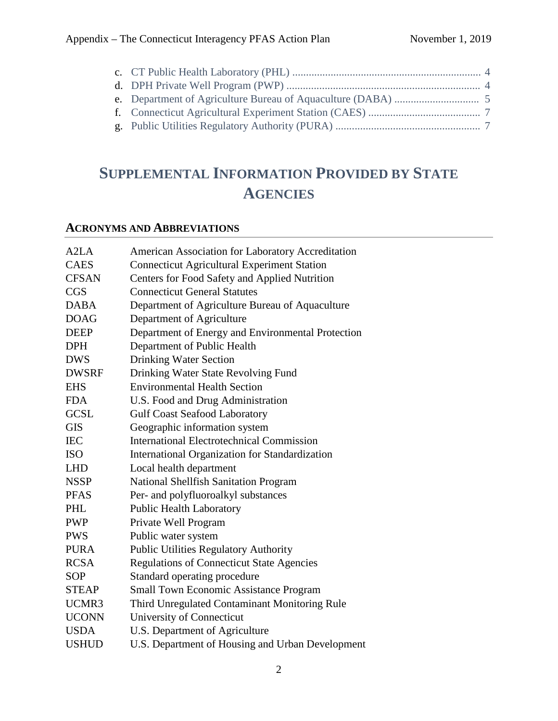# **SUPPLEMENTAL INFORMATION PROVIDED BY STATE AGENCIES**

### **ACRONYMS AND ABBREVIATIONS**

| A <sub>2</sub> L <sub>A</sub> | American Association for Laboratory Accreditation  |
|-------------------------------|----------------------------------------------------|
| <b>CAES</b>                   | <b>Connecticut Agricultural Experiment Station</b> |
| <b>CFSAN</b>                  | Centers for Food Safety and Applied Nutrition      |
| <b>CGS</b>                    | <b>Connecticut General Statutes</b>                |
| <b>DABA</b>                   | Department of Agriculture Bureau of Aquaculture    |
| <b>DOAG</b>                   | Department of Agriculture                          |
| <b>DEEP</b>                   | Department of Energy and Environmental Protection  |
| <b>DPH</b>                    | Department of Public Health                        |
| <b>DWS</b>                    | <b>Drinking Water Section</b>                      |
| <b>DWSRF</b>                  | Drinking Water State Revolving Fund                |
| <b>EHS</b>                    | <b>Environmental Health Section</b>                |
| <b>FDA</b>                    | U.S. Food and Drug Administration                  |
| <b>GCSL</b>                   | <b>Gulf Coast Seafood Laboratory</b>               |
| <b>GIS</b>                    | Geographic information system                      |
| <b>IEC</b>                    | <b>International Electrotechnical Commission</b>   |
| <b>ISO</b>                    | International Organization for Standardization     |
| <b>LHD</b>                    | Local health department                            |
| <b>NSSP</b>                   | <b>National Shellfish Sanitation Program</b>       |
| <b>PFAS</b>                   | Per- and polyfluoroalkyl substances                |
| PHL                           | <b>Public Health Laboratory</b>                    |
| <b>PWP</b>                    | Private Well Program                               |
| <b>PWS</b>                    | Public water system                                |
| <b>PURA</b>                   | <b>Public Utilities Regulatory Authority</b>       |
| <b>RCSA</b>                   | <b>Regulations of Connecticut State Agencies</b>   |
| <b>SOP</b>                    | Standard operating procedure                       |
| <b>STEAP</b>                  | <b>Small Town Economic Assistance Program</b>      |
| UCMR3                         | Third Unregulated Contaminant Monitoring Rule      |
| <b>UCONN</b>                  | University of Connecticut                          |
| <b>USDA</b>                   | U.S. Department of Agriculture                     |
| <b>USHUD</b>                  | U.S. Department of Housing and Urban Development   |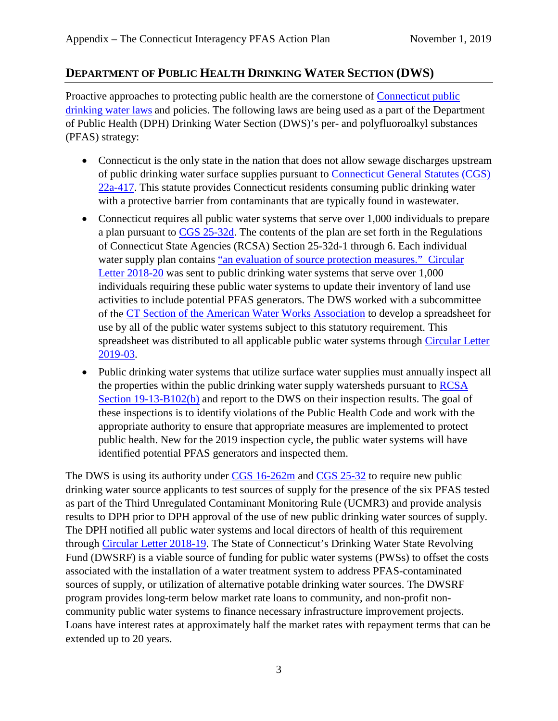#### **DEPARTMENT OF PUBLIC HEALTH DRINKING WATER SECTION (DWS)**

Proactive approaches to protecting public health are the cornerstone of [Connecticut public](https://portal.ct.gov/-/media/Departments-and-Agencies/DPH/dph/drinking_water/pdf/CTStatutesRegsforProtectionofDWSpdf.pdf?la=en)  [drinking water laws](https://portal.ct.gov/-/media/Departments-and-Agencies/DPH/dph/drinking_water/pdf/CTStatutesRegsforProtectionofDWSpdf.pdf?la=en) and policies. The following laws are being used as a part of the Department of Public Health (DPH) Drinking Water Section (DWS)'s per- and polyfluoroalkyl substances (PFAS) strategy:

- Connecticut is the only state in the nation that does not allow sewage discharges upstream of public drinking water surface supplies pursuant to [Connecticut General Statutes \(CGS\)](https://www.cga.ct.gov/current/pub/chap_446k.htm#sec_22a-417)  [22a-417.](https://www.cga.ct.gov/current/pub/chap_446k.htm#sec_22a-417) This statute provides Connecticut residents consuming public drinking water with a protective barrier from contaminants that are typically found in wastewater.
- Connecticut requires all public water systems that serve over 1,000 individuals to prepare a plan pursuant to [CGS 25-32d.](https://www.cga.ct.gov/current/pub/chap_474.htm#sec_25-32d) The contents of the plan are set forth in the Regulations of Connecticut State Agencies (RCSA) Section 25-32d-1 through 6. Each individual water supply plan contains ["an evaluation of source protection measures."](https://eregulations.ct.gov/eRegsPortal/Browse/RCSA/%7BFB1C6880-3C5C-49F4-A04E-03FAE5262CF2%7D) Circular [Letter 2018-20](https://portal.ct.gov/-/media/Departments-and-Agencies/DPH/dph/drinking_water/pdf/DWS-Circular-Letter-2018-20-PFAS-Eval-WSP-Systems.pdf) was sent to public drinking water systems that serve over 1,000 individuals requiring these public water systems to update their inventory of land use activities to include potential PFAS generators. The DWS worked with a subcommittee of the [CT Section of the American Water Works Association](https://ctawwa.org/content.php?page=Source_Water_Protection_Committee) to develop a spreadsheet for use by all of the public water systems subject to this statutory requirement. This spreadsheet was distributed to all applicable public water systems through Circular Letter [2019-03.](https://portal.ct.gov/DPH/Drinking-Water/DWS/Circular-Letters)
- Public drinking water systems that utilize surface water supplies must annually inspect all the properties within the public drinking water supply watersheds pursuant to **RCSA** [Section 19-13-B102\(b\)](https://eregulations.ct.gov/eRegsPortal/Browse/RCSA/%7B2D6B6B06-2C2B-473C-9CC8-2C3AE5176549%7D) and report to the DWS on their inspection results. The goal of these inspections is to identify violations of the Public Health Code and work with the appropriate authority to ensure that appropriate measures are implemented to protect public health. New for the 2019 inspection cycle, the public water systems will have identified potential PFAS generators and inspected them.

The DWS is using its authority under [CGS 16-262m](https://www.cga.ct.gov/current/pub/chap_283.htm#sec_16-262m) and [CGS 25-32](https://www.cga.ct.gov/current/pub/chap_474.htm#sec_25-32) to require new public drinking water source applicants to test sources of supply for the presence of the six PFAS tested as part of the Third Unregulated Contaminant Monitoring Rule (UCMR3) and provide analysis results to DPH prior to DPH approval of the use of new public drinking water sources of supply. The DPH notified all public water systems and local directors of health of this requirement through [Circular Letter 2018-19.](https://portal.ct.gov/-/media/Departments-and-Agencies/DPH/dph/drinking_water/pdf/DWS-Circular-Letter-2018-19-PFAS-UPDATE.pdf) The State of Connecticut's Drinking Water State Revolving Fund (DWSRF) is a viable source of funding for public water systems (PWSs) to offset the costs associated with the installation of a water treatment system to address PFAS-contaminated sources of supply, or utilization of alternative potable drinking water sources. The DWSRF program provides long-term below market rate loans to community, and non-profit noncommunity public water systems to finance necessary infrastructure improvement projects. Loans have interest rates at approximately half the market rates with repayment terms that can be extended up to 20 years.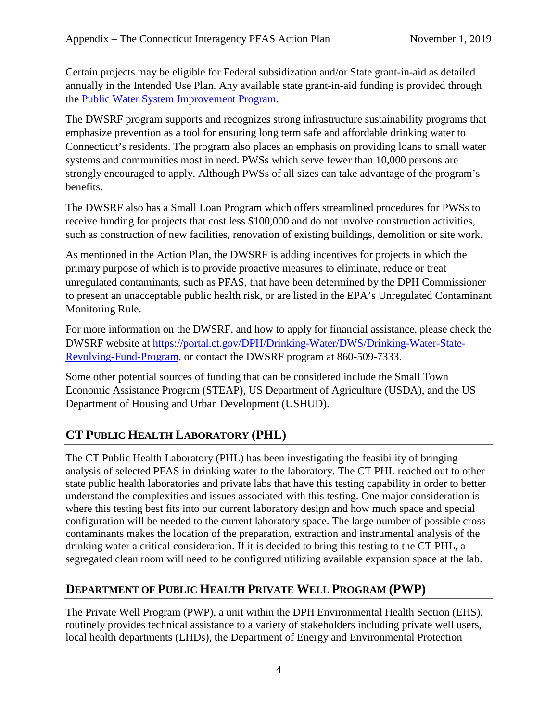Certain projects may be eligible for Federal subsidization and/or State grant-in-aid as detailed annually in the Intended Use Plan. Any available state grant-in-aid funding is provided through the [Public Water System Improvement Program.](http://www.ct.gov/dph/cwp/view.asp?a=3139&q=557188)

The DWSRF program supports and recognizes strong infrastructure sustainability programs that emphasize prevention as a tool for ensuring long term safe and affordable drinking water to Connecticut's residents. The program also places an emphasis on providing loans to small water systems and communities most in need. PWSs which serve fewer than 10,000 persons are strongly encouraged to apply. Although PWSs of all sizes can take advantage of the program's benefits.

The DWSRF also has a Small Loan Program which offers streamlined procedures for PWSs to receive funding for projects that cost less \$100,000 and do not involve construction activities, such as construction of new facilities, renovation of existing buildings, demolition or site work.

As mentioned in the Action Plan, the DWSRF is adding incentives for projects in which the primary purpose of which is to provide proactive measures to eliminate, reduce or treat unregulated contaminants, such as PFAS, that have been determined by the DPH Commissioner to present an unacceptable public health risk, or are listed in the EPA's Unregulated Contaminant Monitoring Rule.

For more information on the DWSRF, and how to apply for financial assistance, please check the DWSRF website at [https://portal.ct.gov/DPH/Drinking-Water/DWS/Drinking-Water-State-](https://portal.ct.gov/DPH/Drinking-Water/DWS/Drinking-Water-State-Revolving-Fund-Program)[Revolving-Fund-Program,](https://portal.ct.gov/DPH/Drinking-Water/DWS/Drinking-Water-State-Revolving-Fund-Program) or contact the DWSRF program at 860-509-7333.

Some other potential sources of funding that can be considered include the Small Town Economic Assistance Program (STEAP), US Department of Agriculture (USDA), and the US Department of Housing and Urban Development (USHUD).

### **CT PUBLIC HEALTH LABORATORY (PHL)**

The CT Public Health Laboratory (PHL) has been investigating the feasibility of bringing analysis of selected PFAS in drinking water to the laboratory. The CT PHL reached out to other state public health laboratories and private labs that have this testing capability in order to better understand the complexities and issues associated with this testing. One major consideration is where this testing best fits into our current laboratory design and how much space and special configuration will be needed to the current laboratory space. The large number of possible cross contaminants makes the location of the preparation, extraction and instrumental analysis of the drinking water a critical consideration. If it is decided to bring this testing to the CT PHL, a segregated clean room will need to be configured utilizing available expansion space at the lab.

### **DEPARTMENT OF PUBLIC HEALTH PRIVATE WELL PROGRAM (PWP)**

The Private Well Program (PWP), a unit within the DPH Environmental Health Section (EHS), routinely provides technical assistance to a variety of stakeholders including private well users, local health departments (LHDs), the Department of Energy and Environmental Protection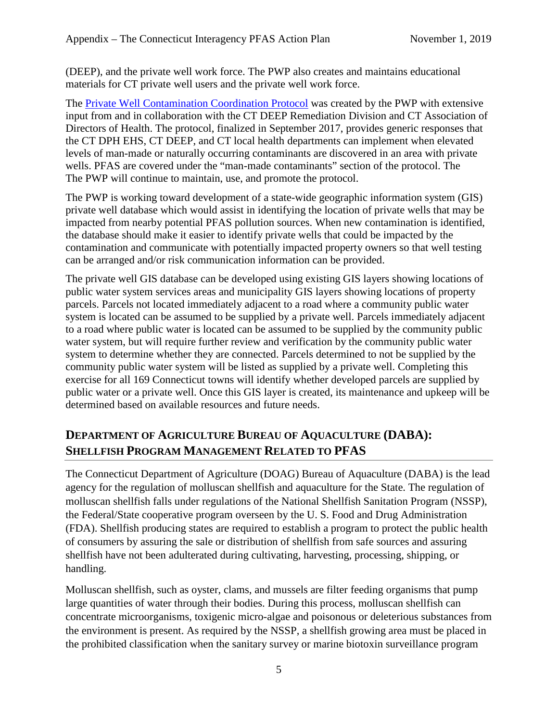(DEEP), and the private well work force. The PWP also creates and maintains educational materials for CT private well users and the private well work force.

The [Private Well Contamination Coordination Protocol](https://portal.ct.gov/DPH/Environmental-Health/Private-Well-Water-Program/Private-Well-Contamination-Coordination-Protocol) was created by the PWP with extensive input from and in collaboration with the CT DEEP Remediation Division and CT Association of Directors of Health. The protocol, finalized in September 2017, provides generic responses that the CT DPH EHS, CT DEEP, and CT local health departments can implement when elevated levels of man-made or naturally occurring contaminants are discovered in an area with private wells. PFAS are covered under the "man-made contaminants" section of the protocol. The The PWP will continue to maintain, use, and promote the protocol.

The PWP is working toward development of a state-wide geographic information system (GIS) private well database which would assist in identifying the location of private wells that may be impacted from nearby potential PFAS pollution sources. When new contamination is identified, the database should make it easier to identify private wells that could be impacted by the contamination and communicate with potentially impacted property owners so that well testing can be arranged and/or risk communication information can be provided.

The private well GIS database can be developed using existing GIS layers showing locations of public water system services areas and municipality GIS layers showing locations of property parcels. Parcels not located immediately adjacent to a road where a community public water system is located can be assumed to be supplied by a private well. Parcels immediately adjacent to a road where public water is located can be assumed to be supplied by the community public water system, but will require further review and verification by the community public water system to determine whether they are connected. Parcels determined to not be supplied by the community public water system will be listed as supplied by a private well. Completing this exercise for all 169 Connecticut towns will identify whether developed parcels are supplied by public water or a private well. Once this GIS layer is created, its maintenance and upkeep will be determined based on available resources and future needs.

### **DEPARTMENT OF AGRICULTURE BUREAU OF AQUACULTURE (DABA): SHELLFISH PROGRAM MANAGEMENT RELATED TO PFAS**

The Connecticut Department of Agriculture (DOAG) Bureau of Aquaculture (DABA) is the lead agency for the regulation of molluscan shellfish and aquaculture for the State. The regulation of molluscan shellfish falls under regulations of the National Shellfish Sanitation Program (NSSP), the Federal/State cooperative program overseen by the U. S. Food and Drug Administration (FDA). Shellfish producing states are required to establish a program to protect the public health of consumers by assuring the sale or distribution of shellfish from safe sources and assuring shellfish have not been adulterated during cultivating, harvesting, processing, shipping, or handling.

Molluscan shellfish, such as oyster, clams, and mussels are filter feeding organisms that pump large quantities of water through their bodies. During this process, molluscan shellfish can concentrate microorganisms, toxigenic micro-algae and poisonous or deleterious substances from the environment is present. As required by the NSSP, a shellfish growing area must be placed in the prohibited classification when the sanitary survey or marine biotoxin surveillance program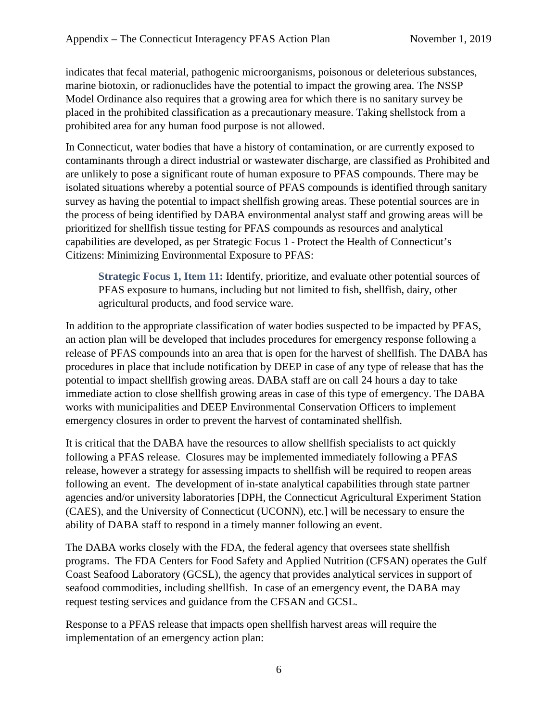indicates that fecal material, pathogenic microorganisms, poisonous or deleterious substances, marine biotoxin, or radionuclides have the potential to impact the growing area. The NSSP Model Ordinance also requires that a growing area for which there is no sanitary survey be placed in the prohibited classification as a precautionary measure. Taking shellstock from a prohibited area for any human food purpose is not allowed.

In Connecticut, water bodies that have a history of contamination, or are currently exposed to contaminants through a direct industrial or wastewater discharge, are classified as Prohibited and are unlikely to pose a significant route of human exposure to PFAS compounds. There may be isolated situations whereby a potential source of PFAS compounds is identified through sanitary survey as having the potential to impact shellfish growing areas. These potential sources are in the process of being identified by DABA environmental analyst staff and growing areas will be prioritized for shellfish tissue testing for PFAS compounds as resources and analytical capabilities are developed, as per Strategic Focus 1 - Protect the Health of Connecticut's Citizens: Minimizing Environmental Exposure to PFAS:

**Strategic Focus 1, Item 11:** Identify, prioritize, and evaluate other potential sources of PFAS exposure to humans, including but not limited to fish, shellfish, dairy, other agricultural products, and food service ware.

In addition to the appropriate classification of water bodies suspected to be impacted by PFAS, an action plan will be developed that includes procedures for emergency response following a release of PFAS compounds into an area that is open for the harvest of shellfish. The DABA has procedures in place that include notification by DEEP in case of any type of release that has the potential to impact shellfish growing areas. DABA staff are on call 24 hours a day to take immediate action to close shellfish growing areas in case of this type of emergency. The DABA works with municipalities and DEEP Environmental Conservation Officers to implement emergency closures in order to prevent the harvest of contaminated shellfish.

It is critical that the DABA have the resources to allow shellfish specialists to act quickly following a PFAS release. Closures may be implemented immediately following a PFAS release, however a strategy for assessing impacts to shellfish will be required to reopen areas following an event. The development of in-state analytical capabilities through state partner agencies and/or university laboratories [DPH, the Connecticut Agricultural Experiment Station (CAES), and the University of Connecticut (UCONN), etc.] will be necessary to ensure the ability of DABA staff to respond in a timely manner following an event.

The DABA works closely with the FDA, the federal agency that oversees state shellfish programs. The FDA Centers for Food Safety and Applied Nutrition (CFSAN) operates the Gulf Coast Seafood Laboratory (GCSL), the agency that provides analytical services in support of seafood commodities, including shellfish. In case of an emergency event, the DABA may request testing services and guidance from the CFSAN and GCSL.

Response to a PFAS release that impacts open shellfish harvest areas will require the implementation of an emergency action plan: